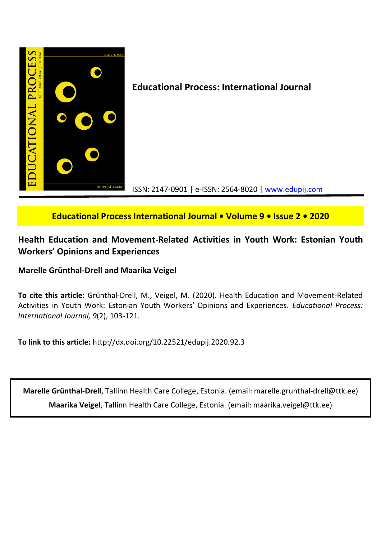

# **Educational Process International Journal • Volume 9 • Issue 2 • 2020**

# **Health Education and Movement-Related Activities in Youth Work: Estonian Youth Workers' Opinions and Experiences**

# **Marelle Grünthal-Drell and Maarika Veigel**

**To cite this article:** Grünthal-Drell, M., Veigel, M. (2020). Health Education and Movement-Related Activities in Youth Work: Estonian Youth Workers' Opinions and Experiences. *Educational Process: International Journal, 9*(2), 103-121.

**To link to this article:** http://dx.doi.org/10.22521/edupij.2020.92.3

**Marelle Grünthal-Drell**, Tallinn Health Care College, Estonia. (email: marelle.grunthal-drell@ttk.ee) **Maarika Veigel**, Tallinn Health Care College, Estonia. (email: maarika.veigel@ttk.ee)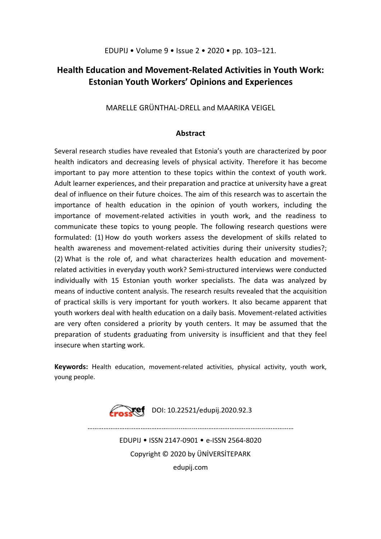# **Health Education and Movement-Related Activities in Youth Work: Estonian Youth Workers' Opinions and Experiences**

MARELLE GRÜNTHAL-DRELL and MAARIKA VEIGEL

# **Abstract**

Several research studies have revealed that Estonia's youth are characterized by poor health indicators and decreasing levels of physical activity. Therefore it has become important to pay more attention to these topics within the context of youth work. Adult learner experiences, and their preparation and practice at university have a great deal of influence on their future choices. The aim of this research was to ascertain the importance of health education in the opinion of youth workers, including the importance of movement-related activities in youth work, and the readiness to communicate these topics to young people. The following research questions were formulated: (1) How do youth workers assess the development of skills related to health awareness and movement-related activities during their university studies?; (2) What is the role of, and what characterizes health education and movementrelated activities in everyday youth work? Semi-structured interviews were conducted individually with 15 Estonian youth worker specialists. The data was analyzed by means of inductive content analysis. The research results revealed that the acquisition of practical skills is very important for youth workers. It also became apparent that youth workers deal with health education on a daily basis. Movement-related activities are very often considered a priority by youth centers. It may be assumed that the preparation of students graduating from university is insufficient and that they feel insecure when starting work.

**Keywords:** Health education, movement-related activities, physical activity, youth work, young people.



EDUPIJ • ISSN 2147-0901 • e-ISSN 2564-8020 Copyright © 2020 by ÜNİVERSİTEPARK

………………………………………........….....………………………………...……………

edupij.com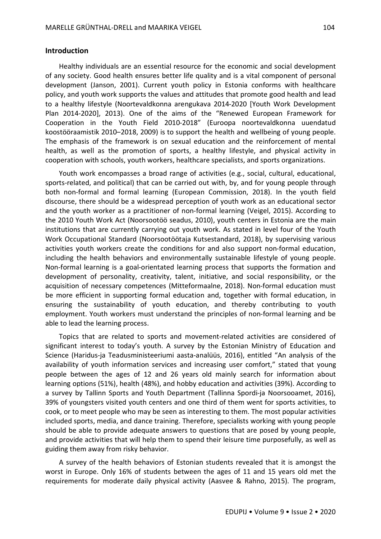## **Introduction**

Healthy individuals are an essential resource for the economic and social development of any society. Good health ensures better life quality and is a vital component of personal development (Janson, 2001). Current youth policy in Estonia conforms with healthcare policy, and youth work supports the values and attitudes that promote good health and lead to a healthy lifestyle (Noortevaldkonna arengukava 2014-2020 [Youth Work Development Plan 2014-2020], 2013). One of the aims of the "Renewed European Framework for Cooperation in the Youth Field 2010-2018" (Euroopa noortevaldkonna uuendatud koostööraamistik 2010–2018, 2009) is to support the health and wellbeing of young people. The emphasis of the framework is on sexual education and the reinforcement of mental health, as well as the promotion of sports, a healthy lifestyle, and physical activity in cooperation with schools, youth workers, healthcare specialists, and sports organizations.

Youth work encompasses a broad range of activities (e.g., social, cultural, educational, sports-related, and political) that can be carried out with, by, and for young people through both non-formal and formal learning (European Commission, 2018). In the youth field discourse, there should be a widespread perception of youth work as an educational sector and the youth worker as a practitioner of non-formal learning (Veigel, 2015). According to the 2010 Youth Work Act (Noorsootöö seadus, 2010), youth centers in Estonia are the main institutions that are currently carrying out youth work. As stated in level four of the Youth Work Occupational Standard (Noorsootöötaja Kutsestandard, 2018), by supervising various activities youth workers create the conditions for and also support non-formal education, including the health behaviors and environmentally sustainable lifestyle of young people. Non-formal learning is a goal-orientated learning process that supports the formation and development of personality, creativity, talent, initiative, and social responsibility, or the acquisition of necessary competences (Mitteformaalne, 2018). Non-formal education must be more efficient in supporting formal education and, together with formal education, in ensuring the sustainability of youth education, and thereby contributing to youth employment. Youth workers must understand the principles of non-formal learning and be able to lead the learning process.

Topics that are related to sports and movement-related activities are considered of significant interest to today's youth. A survey by the Estonian Ministry of Education and Science (Haridus-ja Teadusministeeriumi aasta-analüüs, 2016), entitled "An analysis of the availability of youth information services and increasing user comfort," stated that young people between the ages of 12 and 26 years old mainly search for information about learning options (51%), health (48%), and hobby education and activities (39%). According to a survey by Tallinn Sports and Youth Department (Tallinna Spordi-ja Noorsooamet, 2016), 39% of youngsters visited youth centers and one third of them went for sports activities, to cook, or to meet people who may be seen as interesting to them. The most popular activities included sports, media, and dance training. Therefore, specialists working with young people should be able to provide adequate answers to questions that are posed by young people, and provide activities that will help them to spend their leisure time purposefully, as well as guiding them away from risky behavior.

A survey of the health behaviors of Estonian students revealed that it is amongst the worst in Europe. Only 16% of students between the ages of 11 and 15 years old met the requirements for moderate daily physical activity (Aasvee & Rahno, 2015). The program,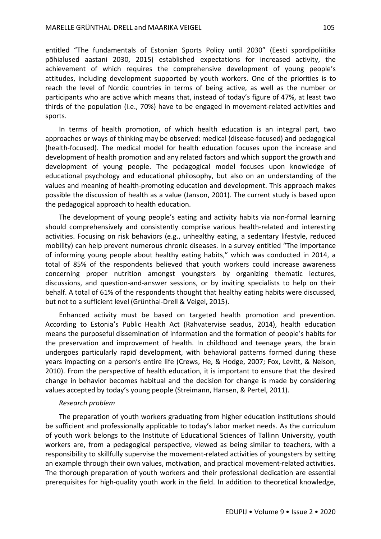entitled "The fundamentals of Estonian Sports Policy until 2030" (Eesti spordipoliitika põhialused aastani 2030, 2015) established expectations for increased activity, the achievement of which requires the comprehensive development of young people's attitudes, including development supported by youth workers. One of the priorities is to reach the level of Nordic countries in terms of being active, as well as the number or participants who are active which means that, instead of today's figure of 47%, at least two thirds of the population (i.e., 70%) have to be engaged in movement-related activities and sports.

In terms of health promotion, of which health education is an integral part, two approaches or ways of thinking may be observed: medical (disease-focused) and pedagogical (health-focused). The medical model for health education focuses upon the increase and development of health promotion and any related factors and which support the growth and development of young people. The pedagogical model focuses upon knowledge of educational psychology and educational philosophy, but also on an understanding of the values and meaning of health-promoting education and development. This approach makes possible the discussion of health as a value (Janson, 2001). The current study is based upon the pedagogical approach to health education.

The development of young people's eating and activity habits via non-formal learning should comprehensively and consistently comprise various health-related and interesting activities. Focusing on risk behaviors (e.g., unhealthy eating, a sedentary lifestyle, reduced mobility) can help prevent numerous chronic diseases. In a survey entitled "The importance of informing young people about healthy eating habits," which was conducted in 2014, a total of 85% of the respondents believed that youth workers could increase awareness concerning proper nutrition amongst youngsters by organizing thematic lectures, discussions, and question-and-answer sessions, or by inviting specialists to help on their behalf. A total of 61% of the respondents thought that healthy eating habits were discussed, but not to a sufficient level (Grünthal-Drell & Veigel, 2015).

Enhanced activity must be based on targeted health promotion and prevention. According to Estonia's Public Health Act (Rahvatervise seadus, 2014), health education means the purposeful dissemination of information and the formation of people's habits for the preservation and improvement of health. In childhood and teenage years, the brain undergoes particularly rapid development, with behavioral patterns formed during these years impacting on a person's entire life (Crews, He, & Hodge, 2007; Fox, Levitt, & Nelson, 2010). From the perspective of health education, it is important to ensure that the desired change in behavior becomes habitual and the decision for change is made by considering values accepted by today's young people (Streimann, Hansen, & Pertel, 2011).

#### *Research problem*

The preparation of youth workers graduating from higher education institutions should be sufficient and professionally applicable to today's labor market needs. As the curriculum of youth work belongs to the Institute of Educational Sciences of Tallinn University, youth workers are, from a pedagogical perspective, viewed as being similar to teachers, with a responsibility to skillfully supervise the movement-related activities of youngsters by setting an example through their own values, motivation, and practical movement-related activities. The thorough preparation of youth workers and their professional dedication are essential prerequisites for high-quality youth work in the field. In addition to theoretical knowledge,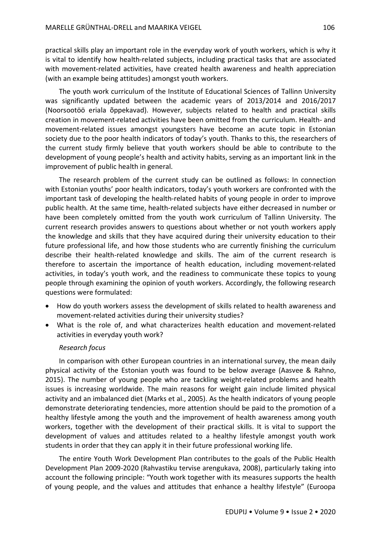practical skills play an important role in the everyday work of youth workers, which is why it is vital to identify how health-related subjects, including practical tasks that are associated with movement-related activities, have created health awareness and health appreciation (with an example being attitudes) amongst youth workers.

The youth work curriculum of the Institute of Educational Sciences of Tallinn University was significantly updated between the academic years of 2013/2014 and 2016/2017 (Noorsootöö eriala õppekavad). However, subjects related to health and practical skills creation in movement-related activities have been omitted from the curriculum. Health- and movement-related issues amongst youngsters have become an acute topic in Estonian society due to the poor health indicators of today's youth. Thanks to this, the researchers of the current study firmly believe that youth workers should be able to contribute to the development of young people's health and activity habits, serving as an important link in the improvement of public health in general.

The research problem of the current study can be outlined as follows: In connection with Estonian youths' poor health indicators, today's youth workers are confronted with the important task of developing the health-related habits of young people in order to improve public health. At the same time, health-related subjects have either decreased in number or have been completely omitted from the youth work curriculum of Tallinn University. The current research provides answers to questions about whether or not youth workers apply the knowledge and skills that they have acquired during their university education to their future professional life, and how those students who are currently finishing the curriculum describe their health-related knowledge and skills. The aim of the current research is therefore to ascertain the importance of health education, including movement-related activities, in today's youth work, and the readiness to communicate these topics to young people through examining the opinion of youth workers. Accordingly, the following research questions were formulated:

- How do youth workers assess the development of skills related to health awareness and movement-related activities during their university studies?
- What is the role of, and what characterizes health education and movement-related activities in everyday youth work?

### *Research focus*

In comparison with other European countries in an international survey, the mean daily physical activity of the Estonian youth was found to be below average (Aasvee & Rahno, 2015). The number of young people who are tackling weight-related problems and health issues is increasing worldwide. The main reasons for weight gain include limited physical activity and an imbalanced diet (Marks et al., 2005). As the health indicators of young people demonstrate deteriorating tendencies, more attention should be paid to the promotion of a healthy lifestyle among the youth and the improvement of health awareness among youth workers, together with the development of their practical skills. It is vital to support the development of values and attitudes related to a healthy lifestyle amongst youth work students in order that they can apply it in their future professional working life.

The entire Youth Work Development Plan contributes to the goals of the Public Health Development Plan 2009-2020 (Rahvastiku tervise arengukava, 2008), particularly taking into account the following principle: "Youth work together with its measures supports the health of young people, and the values and attitudes that enhance a healthy lifestyle" (Euroopa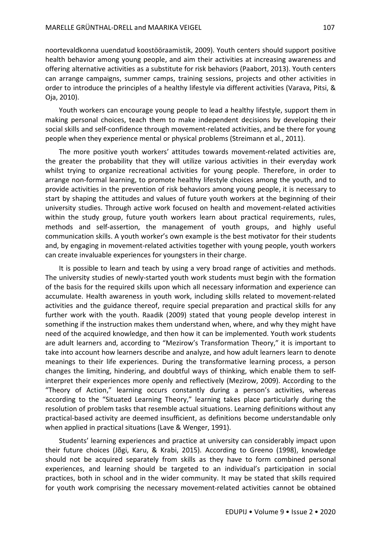noortevaldkonna uuendatud koostööraamistik, 2009). Youth centers should support positive health behavior among young people, and aim their activities at increasing awareness and offering alternative activities as a substitute for risk behaviors (Paabort, 2013). Youth centers can arrange campaigns, summer camps, training sessions, projects and other activities in order to introduce the principles of a healthy lifestyle via different activities (Varava, Pitsi, & Oja, 2010).

Youth workers can encourage young people to lead a healthy lifestyle, support them in making personal choices, teach them to make independent decisions by developing their social skills and self-confidence through movement-related activities, and be there for young people when they experience mental or physical problems (Streimann et al., 2011).

The more positive youth workers' attitudes towards movement-related activities are, the greater the probability that they will utilize various activities in their everyday work whilst trying to organize recreational activities for young people. Therefore, in order to arrange non-formal learning, to promote healthy lifestyle choices among the youth, and to provide activities in the prevention of risk behaviors among young people, it is necessary to start by shaping the attitudes and values of future youth workers at the beginning of their university studies. Through active work focused on health and movement-related activities within the study group, future youth workers learn about practical requirements, rules, methods and self-assertion, the management of youth groups, and highly useful communication skills. A youth worker's own example is the best motivator for their students and, by engaging in movement-related activities together with young people, youth workers can create invaluable experiences for youngsters in their charge.

It is possible to learn and teach by using a very broad range of activities and methods. The university studies of newly-started youth work students must begin with the formation of the basis for the required skills upon which all necessary information and experience can accumulate. Health awareness in youth work, including skills related to movement-related activities and the guidance thereof, require special preparation and practical skills for any further work with the youth. Raadik (2009) stated that young people develop interest in something if the instruction makes them understand when, where, and why they might have need of the acquired knowledge, and then how it can be implemented. Youth work students are adult learners and, according to "Mezirow's Transformation Theory," it is important to take into account how learners describe and analyze, and how adult learners learn to denote meanings to their life experiences. During the transformative learning process, a person changes the limiting, hindering, and doubtful ways of thinking, which enable them to selfinterpret their experiences more openly and reflectively (Mezirow, 2009). According to the "Theory of Action," learning occurs constantly during a person's activities, whereas according to the "Situated Learning Theory," learning takes place particularly during the resolution of problem tasks that resemble actual situations. Learning definitions without any practical-based activity are deemed insufficient, as definitions become understandable only when applied in practical situations (Lave & Wenger, 1991).

Students' learning experiences and practice at university can considerably impact upon their future choices (Jõgi, Karu, & Krabi, 2015). According to Greeno (1998), knowledge should not be acquired separately from skills as they have to form combined personal experiences, and learning should be targeted to an individual's participation in social practices, both in school and in the wider community. It may be stated that skills required for youth work comprising the necessary movement-related activities cannot be obtained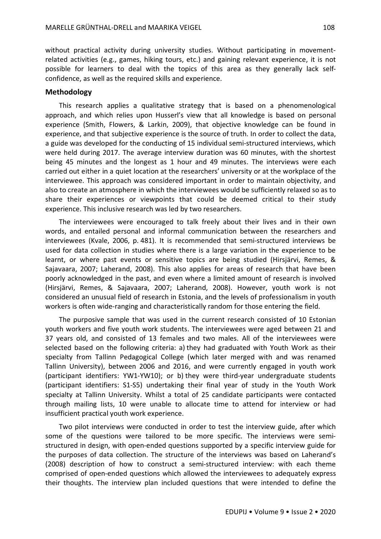without practical activity during university studies. Without participating in movementrelated activities (e.g., games, hiking tours, etc.) and gaining relevant experience, it is not possible for learners to deal with the topics of this area as they generally lack selfconfidence, as well as the required skills and experience.

# **Methodology**

This research applies a qualitative strategy that is based on a phenomenological approach, and which relies upon Husserl's view that all knowledge is based on personal experience (Smith, Flowers, & Larkin, 2009), that objective knowledge can be found in experience, and that subjective experience is the source of truth. In order to collect the data, a guide was developed for the conducting of 15 individual semi-structured interviews, which were held during 2017. The average interview duration was 60 minutes, with the shortest being 45 minutes and the longest as 1 hour and 49 minutes. The interviews were each carried out either in a quiet location at the researchers' university or at the workplace of the interviewee. This approach was considered important in order to maintain objectivity, and also to create an atmosphere in which the interviewees would be sufficiently relaxed so as to share their experiences or viewpoints that could be deemed critical to their study experience. This inclusive research was led by two researchers.

The interviewees were encouraged to talk freely about their lives and in their own words, and entailed personal and informal communication between the researchers and interviewees (Kvale, 2006, p. 481). It is recommended that semi-structured interviews be used for data collection in studies where there is a large variation in the experience to be learnt, or where past events or sensitive topics are being studied (Hirsjärvi, Remes, & Sajavaara, 2007; Laherand, 2008). This also applies for areas of research that have been poorly acknowledged in the past, and even where a limited amount of research is involved (Hirsjärvi, Remes, & Sajavaara, 2007; Laherand, 2008). However, youth work is not considered an unusual field of research in Estonia, and the levels of professionalism in youth workers is often wide-ranging and characteristically random for those entering the field.

The purposive sample that was used in the current research consisted of 10 Estonian youth workers and five youth work students. The interviewees were aged between 21 and 37 years old, and consisted of 13 females and two males. All of the interviewees were selected based on the following criteria: a) they had graduated with Youth Work as their specialty from Tallinn Pedagogical College (which later merged with and was renamed Tallinn University), between 2006 and 2016, and were currently engaged in youth work (participant identifiers: YW1-YW10); or b) they were third-year undergraduate students (participant identifiers: S1-S5) undertaking their final year of study in the Youth Work specialty at Tallinn University. Whilst a total of 25 candidate participants were contacted through mailing lists, 10 were unable to allocate time to attend for interview or had insufficient practical youth work experience.

Two pilot interviews were conducted in order to test the interview guide, after which some of the questions were tailored to be more specific. The interviews were semistructured in design, with open-ended questions supported by a specific interview guide for the purposes of data collection. The structure of the interviews was based on Laherand's (2008) description of how to construct a semi-structured interview: with each theme comprised of open-ended questions which allowed the interviewees to adequately express their thoughts. The interview plan included questions that were intended to define the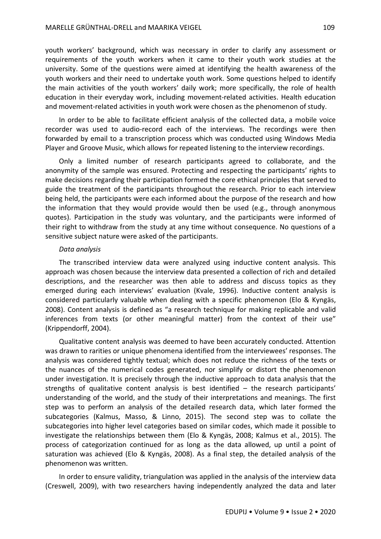youth workers' background, which was necessary in order to clarify any assessment or requirements of the youth workers when it came to their youth work studies at the university. Some of the questions were aimed at identifying the health awareness of the youth workers and their need to undertake youth work. Some questions helped to identify the main activities of the youth workers' daily work; more specifically, the role of health education in their everyday work, including movement-related activities. Health education and movement-related activities in youth work were chosen as the phenomenon of study.

In order to be able to facilitate efficient analysis of the collected data, a mobile voice recorder was used to audio-record each of the interviews. The recordings were then forwarded by email to a transcription process which was conducted using Windows Media Player and Groove Music, which allows for repeated listening to the interview recordings.

Only a limited number of research participants agreed to collaborate, and the anonymity of the sample was ensured. Protecting and respecting the participants' rights to make decisions regarding their participation formed the core ethical principles that served to guide the treatment of the participants throughout the research. Prior to each interview being held, the participants were each informed about the purpose of the research and how the information that they would provide would then be used (e.g., through anonymous quotes). Participation in the study was voluntary, and the participants were informed of their right to withdraw from the study at any time without consequence. No questions of a sensitive subject nature were asked of the participants.

#### *Data analysis*

The transcribed interview data were analyzed using inductive content analysis. This approach was chosen because the interview data presented a collection of rich and detailed descriptions, and the researcher was then able to address and discuss topics as they emerged during each interviews' evaluation (Kvale, 1996). Inductive content analysis is considered particularly valuable when dealing with a specific phenomenon (Elo & Kyngäs, 2008). Content analysis is defined as "a research technique for making replicable and valid inferences from texts (or other meaningful matter) from the context of their use" (Krippendorff, 2004).

Qualitative content analysis was deemed to have been accurately conducted. Attention was drawn to rarities or unique phenomena identified from the interviewees' responses. The analysis was considered tightly textual; which does not reduce the richness of the texts or the nuances of the numerical codes generated, nor simplify or distort the phenomenon under investigation. It is precisely through the inductive approach to data analysis that the strengths of qualitative content analysis is best identified – the research participants' understanding of the world, and the study of their interpretations and meanings. The first step was to perform an analysis of the detailed research data, which later formed the subcategories (Kalmus, Masso, & Linno, 2015). The second step was to collate the subcategories into higher level categories based on similar codes, which made it possible to investigate the relationships between them (Elo & Kyngäs, 2008; Kalmus et al., 2015). The process of categorization continued for as long as the data allowed, up until a point of saturation was achieved (Elo & Kyngäs, 2008). As a final step, the detailed analysis of the phenomenon was written.

In order to ensure validity, triangulation was applied in the analysis of the interview data (Creswell, 2009), with two researchers having independently analyzed the data and later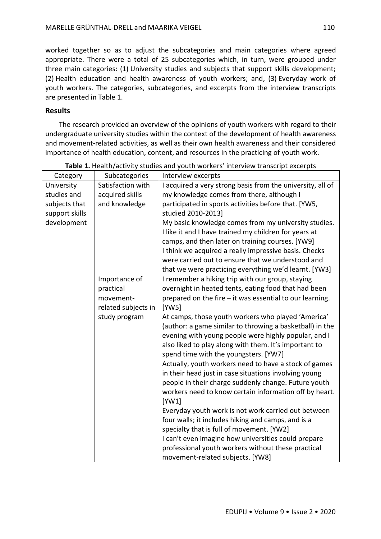worked together so as to adjust the subcategories and main categories where agreed appropriate. There were a total of 25 subcategories which, in turn, were grouped under three main categories: (1) University studies and subjects that support skills development; (2) Health education and health awareness of youth workers; and, (3) Everyday work of youth workers. The categories, subcategories, and excerpts from the interview transcripts are presented in Table 1.

# **Results**

The research provided an overview of the opinions of youth workers with regard to their undergraduate university studies within the context of the development of health awareness and movement-related activities, as well as their own health awareness and their considered importance of health education, content, and resources in the practicing of youth work.

| Category       | Subcategories       | Interview excerpts                                         |
|----------------|---------------------|------------------------------------------------------------|
| University     | Satisfaction with   | I acquired a very strong basis from the university, all of |
| studies and    | acquired skills     | my knowledge comes from there, although I                  |
| subjects that  | and knowledge       | participated in sports activities before that. [YW5,       |
| support skills |                     | studied 2010-2013]                                         |
| development    |                     | My basic knowledge comes from my university studies.       |
|                |                     | I like it and I have trained my children for years at      |
|                |                     | camps, and then later on training courses. [YW9]           |
|                |                     | I think we acquired a really impressive basis. Checks      |
|                |                     | were carried out to ensure that we understood and          |
|                |                     | that we were practicing everything we'd learnt. [YW3]      |
|                | Importance of       | I remember a hiking trip with our group, staying           |
|                | practical           | overnight in heated tents, eating food that had been       |
|                | movement-           | prepared on the fire – it was essential to our learning.   |
|                | related subjects in | [YW5]                                                      |
|                | study program       | At camps, those youth workers who played 'America'         |
|                |                     | (author: a game similar to throwing a basketball) in the   |
|                |                     | evening with young people were highly popular, and I       |
|                |                     | also liked to play along with them. It's important to      |
|                |                     | spend time with the youngsters. [YW7]                      |
|                |                     | Actually, youth workers need to have a stock of games      |
|                |                     | in their head just in case situations involving young      |
|                |                     | people in their charge suddenly change. Future youth       |
|                |                     | workers need to know certain information off by heart.     |
|                |                     | [YW1]                                                      |
|                |                     | Everyday youth work is not work carried out between        |
|                |                     | four walls; it includes hiking and camps, and is a         |
|                |                     | specialty that is full of movement. [YW2]                  |
|                |                     | I can't even imagine how universities could prepare        |
|                |                     | professional youth workers without these practical         |
|                |                     | movement-related subjects. [YW8]                           |

**Table 1.** Health/activity studies and youth workers' interview transcript excerpts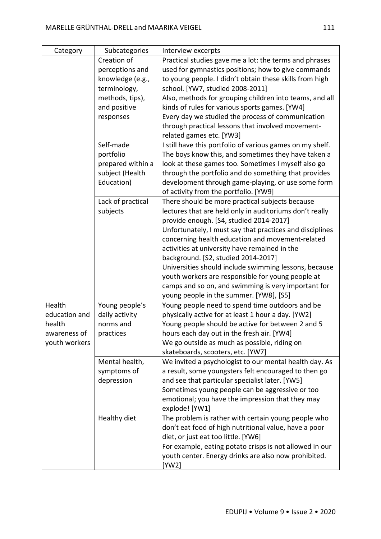| Category      | Subcategories     | Interview excerpts                                        |
|---------------|-------------------|-----------------------------------------------------------|
|               | Creation of       | Practical studies gave me a lot: the terms and phrases    |
|               | perceptions and   | used for gymnastics positions; how to give commands       |
|               | knowledge (e.g.,  | to young people. I didn't obtain these skills from high   |
|               | terminology,      | school. [YW7, studied 2008-2011]                          |
|               | methods, tips),   | Also, methods for grouping children into teams, and all   |
|               | and positive      | kinds of rules for various sports games. [YW4]            |
|               | responses         | Every day we studied the process of communication         |
|               |                   | through practical lessons that involved movement-         |
|               |                   | related games etc. [YW3]                                  |
|               | Self-made         | I still have this portfolio of various games on my shelf. |
|               | portfolio         | The boys know this, and sometimes they have taken a       |
|               | prepared within a | look at these games too. Sometimes I myself also go       |
|               | subject (Health   | through the portfolio and do something that provides      |
|               | Education)        | development through game-playing, or use some form        |
|               |                   | of activity from the portfolio. [YW9]                     |
|               | Lack of practical | There should be more practical subjects because           |
|               | subjects          | lectures that are held only in auditoriums don't really   |
|               |                   | provide enough. [S4, studied 2014-2017]                   |
|               |                   | Unfortunately, I must say that practices and disciplines  |
|               |                   | concerning health education and movement-related          |
|               |                   | activities at university have remained in the             |
|               |                   | background. [S2, studied 2014-2017]                       |
|               |                   | Universities should include swimming lessons, because     |
|               |                   | youth workers are responsible for young people at         |
|               |                   | camps and so on, and swimming is very important for       |
|               |                   | young people in the summer. [YW8], [S5]                   |
| Health        | Young people's    | Young people need to spend time outdoors and be           |
| education and | daily activity    | physically active for at least 1 hour a day. [YW2]        |
| health        | norms and         | Young people should be active for between 2 and 5         |
| awareness of  | practices         | hours each day out in the fresh air. [YW4]                |
| youth workers |                   | We go outside as much as possible, riding on              |
|               |                   | skateboards, scooters, etc. [YW7]                         |
|               | Mental health,    | We invited a psychologist to our mental health day. As    |
|               | symptoms of       | a result, some youngsters felt encouraged to then go      |
|               | depression        | and see that particular specialist later. [YW5]           |
|               |                   | Sometimes young people can be aggressive or too           |
|               |                   | emotional; you have the impression that they may          |
|               |                   | explode! [YW1]                                            |
|               | Healthy diet      | The problem is rather with certain young people who       |
|               |                   | don't eat food of high nutritional value, have a poor     |
|               |                   | diet, or just eat too little. [YW6]                       |
|               |                   | For example, eating potato crisps is not allowed in our   |
|               |                   | youth center. Energy drinks are also now prohibited.      |
|               |                   | [YW2]                                                     |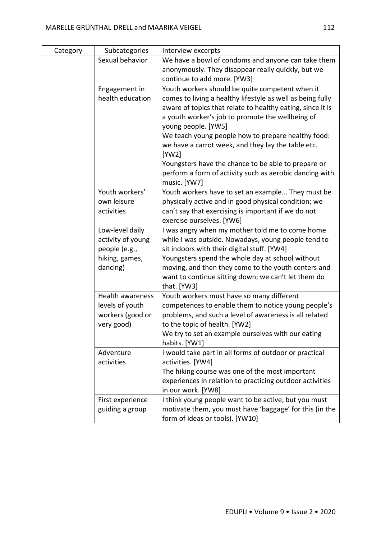| Category | Subcategories           | Interview excerpts                                         |
|----------|-------------------------|------------------------------------------------------------|
|          | Sexual behavior         | We have a bowl of condoms and anyone can take them         |
|          |                         | anonymously. They disappear really quickly, but we         |
|          |                         | continue to add more. [YW3]                                |
|          | Engagement in           | Youth workers should be quite competent when it            |
|          | health education        | comes to living a healthy lifestyle as well as being fully |
|          |                         | aware of topics that relate to healthy eating, since it is |
|          |                         | a youth worker's job to promote the wellbeing of           |
|          |                         | young people. [YW5]                                        |
|          |                         | We teach young people how to prepare healthy food:         |
|          |                         | we have a carrot week, and they lay the table etc.         |
|          |                         | [YW2]                                                      |
|          |                         | Youngsters have the chance to be able to prepare or        |
|          |                         | perform a form of activity such as aerobic dancing with    |
|          |                         | music. [YW7]                                               |
|          | Youth workers'          | Youth workers have to set an example They must be          |
|          | own leisure             | physically active and in good physical condition; we       |
|          | activities              | can't say that exercising is important if we do not        |
|          |                         | exercise ourselves. [YW6]                                  |
|          | Low-level daily         | I was angry when my mother told me to come home            |
|          | activity of young       | while I was outside. Nowadays, young people tend to        |
|          | people (e.g.,           | sit indoors with their digital stuff. [YW4]                |
|          | hiking, games,          | Youngsters spend the whole day at school without           |
|          | dancing)                | moving, and then they come to the youth centers and        |
|          |                         | want to continue sitting down; we can't let them do        |
|          |                         | that. [YW3]                                                |
|          | <b>Health awareness</b> | Youth workers must have so many different                  |
|          | levels of youth         | competences to enable them to notice young people's        |
|          | workers (good or        | problems, and such a level of awareness is all related     |
|          | very good)              | to the topic of health. [YW2]                              |
|          |                         | We try to set an example ourselves with our eating         |
|          |                         | habits. [YW1]                                              |
|          | Adventure               | I would take part in all forms of outdoor or practical     |
|          | activities              | activities. [YW4]                                          |
|          |                         | The hiking course was one of the most important            |
|          |                         | experiences in relation to practicing outdoor activities   |
|          |                         | in our work. [YW8]                                         |
|          | First experience        | I think young people want to be active, but you must       |
|          | guiding a group         | motivate them, you must have 'baggage' for this (in the    |
|          |                         | form of ideas or tools). [YW10]                            |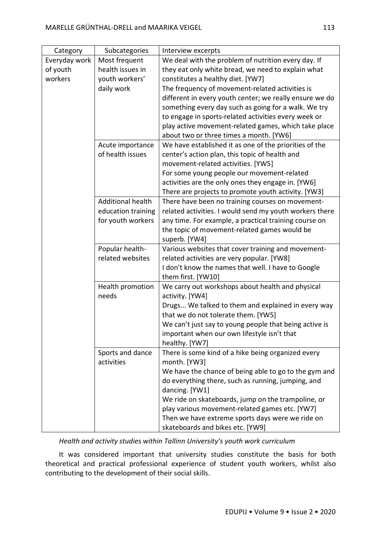| Category      | Subcategories            | Interview excerpts                                      |
|---------------|--------------------------|---------------------------------------------------------|
| Everyday work | Most frequent            | We deal with the problem of nutrition every day. If     |
| of youth      | health issues in         | they eat only white bread, we need to explain what      |
| workers       | youth workers'           | constitutes a healthy diet. [YW7]                       |
|               | daily work               | The frequency of movement-related activities is         |
|               |                          | different in every youth center; we really ensure we do |
|               |                          | something every day such as going for a walk. We try    |
|               |                          | to engage in sports-related activities every week or    |
|               |                          | play active movement-related games, which take place    |
|               |                          | about two or three times a month. [YW6]                 |
|               | Acute importance         | We have established it as one of the priorities of the  |
|               | of health issues         | center's action plan, this topic of health and          |
|               |                          | movement-related activities. [YW5]                      |
|               |                          | For some young people our movement-related              |
|               |                          | activities are the only ones they engage in. [YW6]      |
|               |                          | There are projects to promote youth activity. [YW3]     |
|               | <b>Additional health</b> | There have been no training courses on movement-        |
|               | education training       | related activities. I would send my youth workers there |
|               | for youth workers        | any time. For example, a practical training course on   |
|               |                          | the topic of movement-related games would be            |
|               |                          | superb. [YW4]                                           |
|               | Popular health-          | Various websites that cover training and movement-      |
|               | related websites         | related activities are very popular. [YW8]              |
|               |                          | I don't know the names that well. I have to Google      |
|               |                          | them first. [YW10]                                      |
|               | Health promotion         | We carry out workshops about health and physical        |
|               | needs                    | activity. [YW4]                                         |
|               |                          | Drugs We talked to them and explained in every way      |
|               |                          | that we do not tolerate them. [YW5]                     |
|               |                          | We can't just say to young people that being active is  |
|               |                          | important when our own lifestyle isn't that             |
|               |                          | healthy. [YW7]                                          |
|               | Sports and dance         | There is some kind of a hike being organized every      |
|               | activities               | month. [YW3]                                            |
|               |                          | We have the chance of being able to go to the gym and   |
|               |                          | do everything there, such as running, jumping, and      |
|               |                          | dancing. [YW1]                                          |
|               |                          | We ride on skateboards, jump on the trampoline, or      |
|               |                          | play various movement-related games etc. [YW7]          |
|               |                          | Then we have extreme sports days were we ride on        |
|               |                          | skateboards and bikes etc. [YW9]                        |

*Health and activity studies within Tallinn University's youth work curriculum*

It was considered important that university studies constitute the basis for both theoretical and practical professional experience of student youth workers, whilst also contributing to the development of their social skills.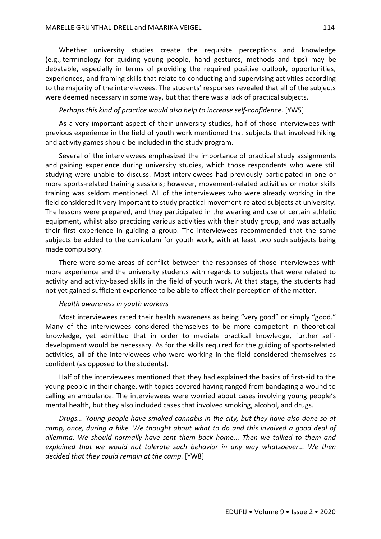Whether university studies create the requisite perceptions and knowledge (e.g., terminology for guiding young people, hand gestures, methods and tips) may be debatable, especially in terms of providing the required positive outlook, opportunities, experiences, and framing skills that relate to conducting and supervising activities according to the majority of the interviewees. The students' responses revealed that all of the subjects were deemed necessary in some way, but that there was a lack of practical subjects.

## *Perhaps this kind of practice would also help to increase self-confidence.* [YW5]

As a very important aspect of their university studies, half of those interviewees with previous experience in the field of youth work mentioned that subjects that involved hiking and activity games should be included in the study program.

Several of the interviewees emphasized the importance of practical study assignments and gaining experience during university studies, which those respondents who were still studying were unable to discuss. Most interviewees had previously participated in one or more sports-related training sessions; however, movement-related activities or motor skills training was seldom mentioned. All of the interviewees who were already working in the field considered it very important to study practical movement-related subjects at university. The lessons were prepared, and they participated in the wearing and use of certain athletic equipment, whilst also practicing various activities with their study group, and was actually their first experience in guiding a group. The interviewees recommended that the same subjects be added to the curriculum for youth work, with at least two such subjects being made compulsory.

There were some areas of conflict between the responses of those interviewees with more experience and the university students with regards to subjects that were related to activity and activity-based skills in the field of youth work. At that stage, the students had not yet gained sufficient experience to be able to affect their perception of the matter.

#### *Health awareness in youth workers*

Most interviewees rated their health awareness as being "very good" or simply "good." Many of the interviewees considered themselves to be more competent in theoretical knowledge, yet admitted that in order to mediate practical knowledge, further selfdevelopment would be necessary. As for the skills required for the guiding of sports-related activities, all of the interviewees who were working in the field considered themselves as confident (as opposed to the students).

Half of the interviewees mentioned that they had explained the basics of first-aid to the young people in their charge, with topics covered having ranged from bandaging a wound to calling an ambulance. The interviewees were worried about cases involving young people's mental health, but they also included cases that involved smoking, alcohol, and drugs.

*Drugs... Young people have smoked cannabis in the city, but they have also done so at camp, once, during a hike. We thought about what to do and this involved a good deal of dilemma. We should normally have sent them back home... Then we talked to them and explained that we would not tolerate such behavior in any way whatsoever... We then decided that they could remain at the camp.* [YW8]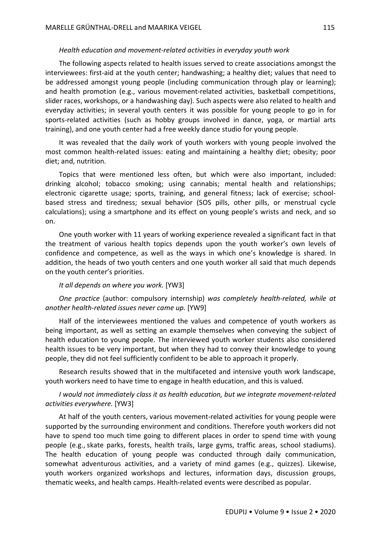## *Health education and movement-related activities in everyday youth work*

The following aspects related to health issues served to create associations amongst the interviewees: first-aid at the youth center; handwashing; a healthy diet; values that need to be addressed amongst young people (including communication through play or learning); and health promotion (e.g., various movement-related activities, basketball competitions, slider races, workshops, or a handwashing day). Such aspects were also related to health and everyday activities; in several youth centers it was possible for young people to go in for sports-related activities (such as hobby groups involved in dance, yoga, or martial arts training), and one youth center had a free weekly dance studio for young people.

It was revealed that the daily work of youth workers with young people involved the most common health-related issues: eating and maintaining a healthy diet; obesity; poor diet; and, nutrition.

Topics that were mentioned less often, but which were also important, included: drinking alcohol; tobacco smoking; using cannabis; mental health and relationships; electronic cigarette usage; sports, training, and general fitness; lack of exercise; schoolbased stress and tiredness; sexual behavior (SOS pills, other pills, or menstrual cycle calculations); using a smartphone and its effect on young people's wrists and neck, and so on.

One youth worker with 11 years of working experience revealed a significant fact in that the treatment of various health topics depends upon the youth worker's own levels of confidence and competence, as well as the ways in which one's knowledge is shared. In addition, the heads of two youth centers and one youth worker all said that much depends on the youth center's priorities.

## *It all depends on where you work.* [YW3]

*One practice* (author: compulsory internship) *was completely health-related, while at another health-related issues never came up.* [YW9]

Half of the interviewees mentioned the values and competence of youth workers as being important, as well as setting an example themselves when conveying the subject of health education to young people. The interviewed youth worker students also considered health issues to be very important, but when they had to convey their knowledge to young people, they did not feel sufficiently confident to be able to approach it properly.

Research results showed that in the multifaceted and intensive youth work landscape, youth workers need to have time to engage in health education, and this is valued.

# *I would not immediately class it as health education, but we integrate movement-related activities everywhere.* [YW3]

At half of the youth centers, various movement-related activities for young people were supported by the surrounding environment and conditions. Therefore youth workers did not have to spend too much time going to different places in order to spend time with young people (e.g., skate parks, forests, health trails, large gyms, traffic areas, school stadiums). The health education of young people was conducted through daily communication, somewhat adventurous activities, and a variety of mind games (e.g., quizzes). Likewise, youth workers organized workshops and lectures, information days, discussion groups, thematic weeks, and health camps. Health-related events were described as popular.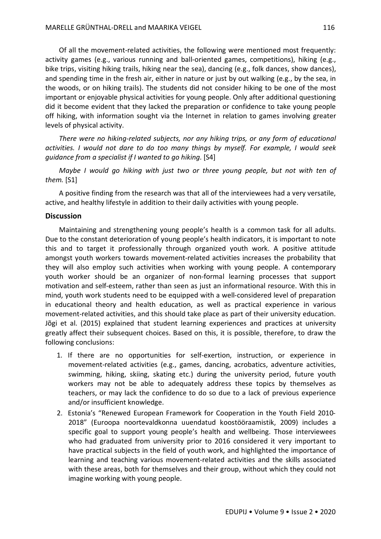Of all the movement-related activities, the following were mentioned most frequently: activity games (e.g., various running and ball-oriented games, competitions), hiking (e.g., bike trips, visiting hiking trails, hiking near the sea), dancing (e.g., folk dances, show dances), and spending time in the fresh air, either in nature or just by out walking (e.g., by the sea, in the woods, or on hiking trails). The students did not consider hiking to be one of the most important or enjoyable physical activities for young people. Only after additional questioning did it become evident that they lacked the preparation or confidence to take young people off hiking, with information sought via the Internet in relation to games involving greater levels of physical activity.

*There were no hiking-related subjects, nor any hiking trips, or any form of educational activities. I would not dare to do too many things by myself. For example, I would seek guidance from a specialist if I wanted to go hiking.* [S4]

*Maybe I would go hiking with just two or three young people, but not with ten of them.* [S1]

A positive finding from the research was that all of the interviewees had a very versatile, active, and healthy lifestyle in addition to their daily activities with young people.

# **Discussion**

Maintaining and strengthening young people's health is a common task for all adults. Due to the constant deterioration of young people's health indicators, it is important to note this and to target it professionally through organized youth work. A positive attitude amongst youth workers towards movement-related activities increases the probability that they will also employ such activities when working with young people. A contemporary youth worker should be an organizer of non-formal learning processes that support motivation and self-esteem, rather than seen as just an informational resource. With this in mind, youth work students need to be equipped with a well-considered level of preparation in educational theory and health education, as well as practical experience in various movement-related activities, and this should take place as part of their university education. Jõgi et al. (2015) explained that student learning experiences and practices at university greatly affect their subsequent choices. Based on this, it is possible, therefore, to draw the following conclusions:

- 1. If there are no opportunities for self-exertion, instruction, or experience in movement-related activities (e.g., games, dancing, acrobatics, adventure activities, swimming, hiking, skiing, skating etc.) during the university period, future youth workers may not be able to adequately address these topics by themselves as teachers, or may lack the confidence to do so due to a lack of previous experience and/or insufficient knowledge.
- 2. Estonia's "Renewed European Framework for Cooperation in the Youth Field 2010- 2018" (Euroopa noortevaldkonna uuendatud koostööraamistik, 2009) includes a specific goal to support young people's health and wellbeing. Those interviewees who had graduated from university prior to 2016 considered it very important to have practical subjects in the field of youth work, and highlighted the importance of learning and teaching various movement-related activities and the skills associated with these areas, both for themselves and their group, without which they could not imagine working with young people.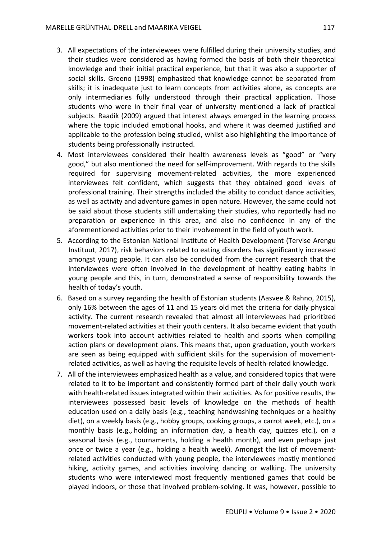- 3. All expectations of the interviewees were fulfilled during their university studies, and their studies were considered as having formed the basis of both their theoretical knowledge and their initial practical experience, but that it was also a supporter of social skills. Greeno (1998) emphasized that knowledge cannot be separated from skills; it is inadequate just to learn concepts from activities alone, as concepts are only intermediaries fully understood through their practical application. Those students who were in their final year of university mentioned a lack of practical subjects. Raadik (2009) argued that interest always emerged in the learning process where the topic included emotional hooks, and where it was deemed justified and applicable to the profession being studied, whilst also highlighting the importance of students being professionally instructed.
- 4. Most interviewees considered their health awareness levels as "good" or "very good," but also mentioned the need for self-improvement. With regards to the skills required for supervising movement-related activities, the more experienced interviewees felt confident, which suggests that they obtained good levels of professional training. Their strengths included the ability to conduct dance activities, as well as activity and adventure games in open nature. However, the same could not be said about those students still undertaking their studies, who reportedly had no preparation or experience in this area, and also no confidence in any of the aforementioned activities prior to their involvement in the field of youth work.
- 5. According to the Estonian National Institute of Health Development (Tervise Arengu Instituut, 2017), risk behaviors related to eating disorders has significantly increased amongst young people. It can also be concluded from the current research that the interviewees were often involved in the development of healthy eating habits in young people and this, in turn, demonstrated a sense of responsibility towards the health of today's youth.
- 6. Based on a survey regarding the health of Estonian students (Aasvee & Rahno, 2015), only 16% between the ages of 11 and 15 years old met the criteria for daily physical activity. The current research revealed that almost all interviewees had prioritized movement-related activities at their youth centers. It also became evident that youth workers took into account activities related to health and sports when compiling action plans or development plans. This means that, upon graduation, youth workers are seen as being equipped with sufficient skills for the supervision of movementrelated activities, as well as having the requisite levels of health-related knowledge.
- 7. All of the interviewees emphasized health as a value, and considered topics that were related to it to be important and consistently formed part of their daily youth work with health-related issues integrated within their activities. As for positive results, the interviewees possessed basic levels of knowledge on the methods of health education used on a daily basis (e.g., teaching handwashing techniques or a healthy diet), on a weekly basis (e.g., hobby groups, cooking groups, a carrot week, etc.), on a monthly basis (e.g., holding an information day, a health day, quizzes etc.), on a seasonal basis (e.g., tournaments, holding a health month), and even perhaps just once or twice a year (e.g., holding a health week). Amongst the list of movementrelated activities conducted with young people, the interviewees mostly mentioned hiking, activity games, and activities involving dancing or walking. The university students who were interviewed most frequently mentioned games that could be played indoors, or those that involved problem-solving. It was, however, possible to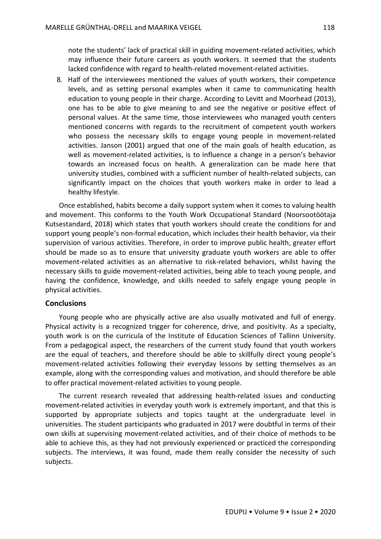note the students' lack of practical skill in guiding movement-related activities, which may influence their future careers as youth workers. It seemed that the students lacked confidence with regard to health-related movement-related activities.

8. Half of the interviewees mentioned the values of youth workers, their competence levels, and as setting personal examples when it came to communicating health education to young people in their charge. According to Levitt and Moorhead (2013), one has to be able to give meaning to and see the negative or positive effect of personal values. At the same time, those interviewees who managed youth centers mentioned concerns with regards to the recruitment of competent youth workers who possess the necessary skills to engage young people in movement-related activities. Janson (2001) argued that one of the main goals of health education, as well as movement-related activities, is to influence a change in a person's behavior towards an increased focus on health. A generalization can be made here that university studies, combined with a sufficient number of health-related subjects, can significantly impact on the choices that youth workers make in order to lead a healthy lifestyle.

Once established, habits become a daily support system when it comes to valuing health and movement. This conforms to the Youth Work Occupational Standard (Noorsootöötaja Kutsestandard, 2018) which states that youth workers should create the conditions for and support young people's non-formal education, which includes their health behavior, via their supervision of various activities. Therefore, in order to improve public health, greater effort should be made so as to ensure that university graduate youth workers are able to offer movement-related activities as an alternative to risk-related behaviors, whilst having the necessary skills to guide movement-related activities, being able to teach young people, and having the confidence, knowledge, and skills needed to safely engage young people in physical activities.

## **Conclusions**

Young people who are physically active are also usually motivated and full of energy. Physical activity is a recognized trigger for coherence, drive, and positivity. As a specialty, youth work is on the curricula of the Institute of Education Sciences of Tallinn University. From a pedagogical aspect, the researchers of the current study found that youth workers are the equal of teachers, and therefore should be able to skillfully direct young people's movement-related activities following their everyday lessons by setting themselves as an example, along with the corresponding values and motivation, and should therefore be able to offer practical movement-related activities to young people.

The current research revealed that addressing health-related issues and conducting movement-related activities in everyday youth work is extremely important, and that this is supported by appropriate subjects and topics taught at the undergraduate level in universities. The student participants who graduated in 2017 were doubtful in terms of their own skills at supervising movement-related activities, and of their choice of methods to be able to achieve this, as they had not previously experienced or practiced the corresponding subjects. The interviews, it was found, made them really consider the necessity of such subjects.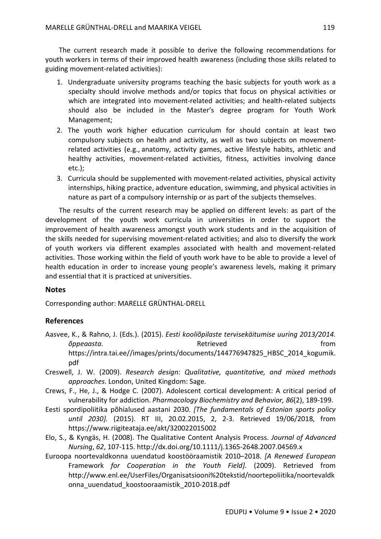The current research made it possible to derive the following recommendations for youth workers in terms of their improved health awareness (including those skills related to guiding movement-related activities):

- 1. Undergraduate university programs teaching the basic subjects for youth work as a specialty should involve methods and/or topics that focus on physical activities or which are integrated into movement-related activities; and health-related subjects should also be included in the Master's degree program for Youth Work Management;
- 2. The youth work higher education curriculum for should contain at least two compulsory subjects on health and activity, as well as two subjects on movementrelated activities (e.g., anatomy, activity games, active lifestyle habits, athletic and healthy activities, movement-related activities, fitness, activities involving dance etc.);
- 3. Curricula should be supplemented with movement-related activities, physical activity internships, hiking practice, adventure education, swimming, and physical activities in nature as part of a compulsory internship or as part of the subjects themselves.

The results of the current research may be applied on different levels: as part of the development of the youth work curricula in universities in order to support the improvement of health awareness amongst youth work students and in the acquisition of the skills needed for supervising movement-related activities; and also to diversify the work of youth workers via different examples associated with health and movement-related activities. Those working within the field of youth work have to be able to provide a level of health education in order to increase young people's awareness levels, making it primary and essential that it is practiced at universities.

## **Notes**

Corresponding author: MARELLE GRÜNTHAL-DRELL

# **References**

- Aasvee, K., & Rahno, J. (Eds.). (2015). *Eesti kooliõpilaste tervisekäitumise uuring 2013/2014. õppeaasta.* Ketrieved koordige from Retrieved from the from https://intra.tai.ee//images/prints/documents/144776947825\_HBSC\_2014\_kogumik. pdf
- Creswell, J. W. (2009). *Research design: Qualitative, quantitative, and mixed methods approaches*. London, United Kingdom: Sage.
- Crews, F., He, J., & Hodge C. (2007). Adolescent cortical development: A critical period of vulnerability for addiction. *Pharmacology Biochemistry and Behavior, 86*(2), 189-199.
- Eesti spordipoliitika põhialused aastani 2030. *[The fundamentals of Estonian sports policy until 2030].* (2015). RT III, 20.02.2015, 2, 2-3. Retrieved 19/06/2018, from https://www.riigiteataja.ee/akt/320022015002
- Elo, S., & Kyngäs, H. (2008). The Qualitative Content Analysis Process. *Journal of Advanced Nursing*, *62*, 107-115. http://dx.doi.org/10.1111/j.1365-2648.2007.04569.x
- Euroopa noortevaldkonna uuendatud koostööraamistik 2010–2018. *[A Renewed European*  Framework *for Cooperation in the Youth Field].* (2009). Retrieved from http://www.enl.ee/UserFiles/Organisatsiooni%20tekstid/noortepoliitika/noortevaldk onna\_uuendatud\_koostooraamistik\_2010-2018.pdf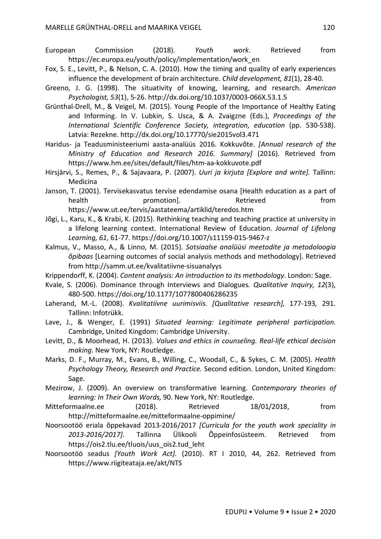- European Commission (2018). *Youth work*. Retrieved from https://ec.europa.eu/youth/policy/implementation/work\_en
- Fox, S. E., Levitt, P., & Nelson, C. A. (2010). How the timing and quality of early experiences influence the development of brain architecture. *Child development, 81*(1), 28-40.
- Greeno, J. G. (1998). The situativity of knowing, learning, and research. *American Psychologist, 53*(1), 5-26. http://dx.doi.org/10.1037/0003-066X.53.1.5
- Grünthal-Drell, M., & Veigel, M. (2015). Young People of the Importance of Healthy Eating and Informing. In V. Lubkin, S. Usca, & A. Zvaigzne (Eds.), *Proceedings of the International Scientific Conference Society, integration, education* (pp. 530-538). Latvia: Rezekne. http://dx.doi.org/10.17770/sie2015vol3.471
- Haridus- ja Teadusministeeriumi aasta-analüüs 2016. Kokkuvõte. *[Annual research of the Ministry of Education and Research 2016. Summary]* (2016). Retrieved from https://www.hm.ee/sites/default/files/htm-aa-kokkuvote.pdf
- Hirsjärvi, S., Remes, P., & Sajavaara, P. (2007). *Uuri ja kirjuta [Explore and write].* Tallinn: Medicina
- Janson, T. (2001). Tervisekasvatus tervise edendamise osana [Health education as a part of health **promotion**]. The Retrieved **container and the promotion** and  $\mathbb{R}$ https://www.ut.ee/tervis/aastateema/artiklid/teredos.htm
- Jõgi, L., Karu, K., & Krabi, K. (2015). Rethinking teaching and teaching practice at university in a lifelong learning context. International Review of Education. *Journal of Lifelong Learning, 61*, 61-77. https://doi.org/10.1007/s11159-015-9467-z
- Kalmus, V., Masso, A., & Linno, M. (2015). *Sotsiaalse analüüsi meetodite ja metodoloogia õpibaas* [Learning outcomes of social analysis methods and methodology]. Retrieved from http://samm.ut.ee/kvalitatiivne-sisuanalyys
- Krippendorff, K. (2004). *Content analysis: An introduction to its methodology*. London: Sage.
- Kvale, S. (2006). Dominance through Interviews and Dialogues*. Qualitative Inquiry, 12*(3), 480-500. https://doi.org/10.1177/1077800406286235
- Laherand, M.-L. (2008). *Kvalitatiivne uurimisviis*. *[Qualitative research],* 177-193*,* 291. Tallinn: Infotrükk.
- Lave, J., & Wenger, E. (1991) *Situated learning: Legitimate peripheral participation.* Cambridge, United Kingdom: Cambridge University.
- Levitt, D., & Moorhead, H. (2013). *Values and ethics in counseling. Real-life ethical decision making*. New York, NY: Routledge.
- Marks, D. F., Murray, M., Evans, B., Willing, C., Woodall, C., & Sykes, C. M. (2005). *Health Psychology Theory, Research and Practice.* Second edition. London, United Kingdom: Sage.
- Mezirow, J. (2009). An overview on transformative learning. *Contemporary theories of learning: In Their Own Words,* 90. New York, NY: Routledge.
- Mitteformaalne.ee (2018). Retrieved 18/01/2018, from http://mitteformaalne.ee/mitteformaalne-oppimine/
- Noorsootöö eriala õppekavad 2013-2016/2017 *[Curricula for the youth work speciality in 2013-2016/2017].* Tallinna Ülikooli Õppeinfosüsteem. Retrieved from https://ois2.tlu.ee/tluois/uus\_ois2.tud\_leht
- Noorsootöö seadus *[Youth Work Act].* (2010). RT I 2010, 44, 262. Retrieved from https://www.riigiteataja.ee/akt/NTS